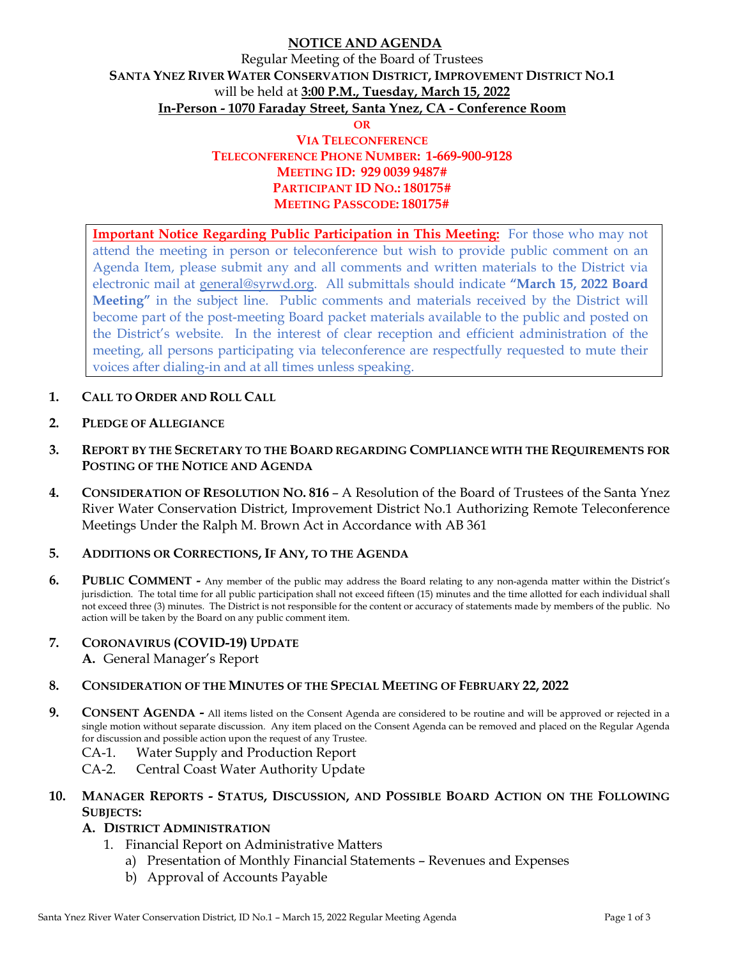## **NOTICE AND AGENDA**

# Regular Meeting of the Board of Trustees **SANTA YNEZ RIVER WATER CONSERVATION DISTRICT, IMPROVEMENT DISTRICT NO.1**  will be held at **3:00 P.M., Tuesday, March 15, 2022 In-Person - 1070 Faraday Street, Santa Ynez, CA - Conference Room**

**OR**

### **VIA TELECONFERENCE TELECONFERENCE PHONE NUMBER: 1-669-900-9128 MEETING ID: 929 0039 9487# PARTICIPANT ID NO.: 180175# MEETING PASSCODE: 180175#**

**Important Notice Regarding Public Participation in This Meeting:** For those who may not attend the meeting in person or teleconference but wish to provide public comment on an Agenda Item, please submit any and all comments and written materials to the District via electronic mail at general@syrwd.org. All submittals should indicate **"March 15, 2022 Board Meeting"** in the subject line. Public comments and materials received by the District will become part of the post-meeting Board packet materials available to the public and posted on the District's website. In the interest of clear reception and efficient administration of the meeting, all persons participating via teleconference are respectfully requested to mute their voices after dialing-in and at all times unless speaking.

- **1. CALL TO ORDER AND ROLL CALL**
- **2. PLEDGE OF ALLEGIANCE**
- **3. REPORT BY THE SECRETARY TO THE BOARD REGARDING COMPLIANCE WITH THE REQUIREMENTS FOR POSTING OF THE NOTICE AND AGENDA**
- **4. CONSIDERATION OF RESOLUTION NO. 816** A Resolution of the Board of Trustees of the Santa Ynez River Water Conservation District, Improvement District No.1 Authorizing Remote Teleconference Meetings Under the Ralph M. Brown Act in Accordance with AB 361

#### **5. ADDITIONS OR CORRECTIONS, IF ANY, TO THE AGENDA**

**6. PUBLIC COMMENT -** Any member of the public may address the Board relating to any non-agenda matter within the District's jurisdiction. The total time for all public participation shall not exceed fifteen (15) minutes and the time allotted for each individual shall not exceed three (3) minutes. The District is not responsible for the content or accuracy of statements made by members of the public. No action will be taken by the Board on any public comment item.

#### **7. CORONAVIRUS (COVID-19) UPDATE**

**A.** General Manager's Report

#### **8. CONSIDERATION OF THE MINUTES OF THE SPECIAL MEETING OF FEBRUARY 22, 2022**

- **9.** CONSENT AGENDA All items listed on the Consent Agenda are considered to be routine and will be approved or rejected in a single motion without separate discussion. Any item placed on the Consent Agenda can be removed and placed on the Regular Agenda for discussion and possible action upon the request of any Trustee.
	- CA-1. Water Supply and Production Report
	- CA-2. Central Coast Water Authority Update

#### **10. MANAGER REPORTS - STATUS, DISCUSSION, AND POSSIBLE BOARD ACTION ON THE FOLLOWING SUBJECTS:**

### **A. DISTRICT ADMINISTRATION**

- 1. Financial Report on Administrative Matters
	- a) Presentation of Monthly Financial Statements Revenues and Expenses
	- b) Approval of Accounts Payable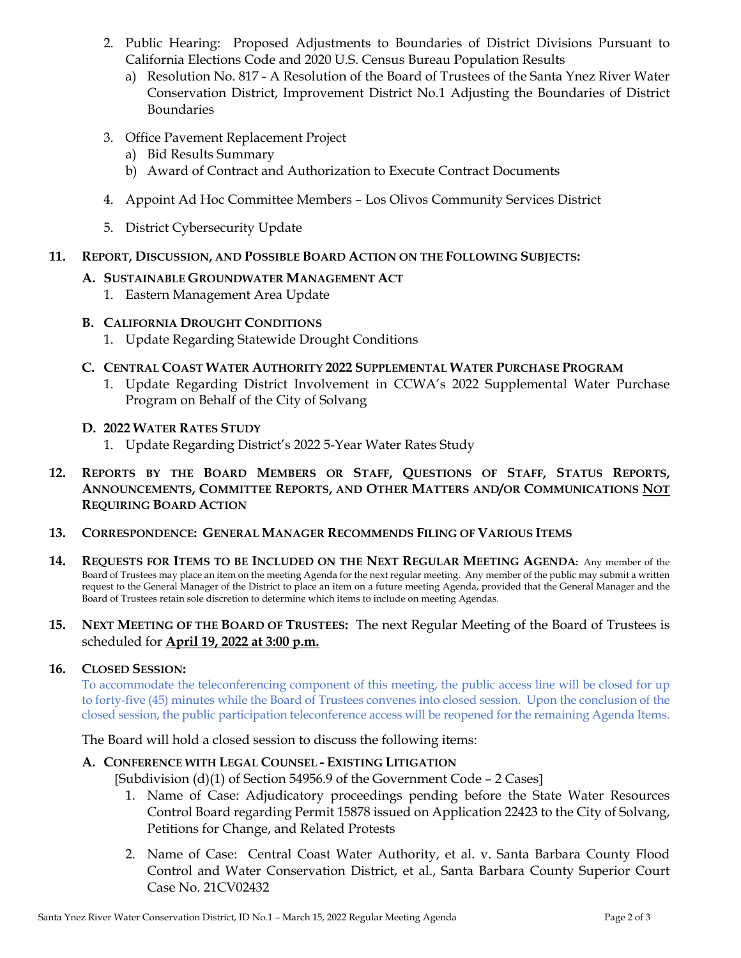- 2. Public Hearing: Proposed Adjustments to Boundaries of District Divisions Pursuant to California Elections Code and 2020 U.S. Census Bureau Population Results
	- a) Resolution No. 817 A Resolution of the Board of Trustees of the Santa Ynez River Water Conservation District, Improvement District No.1 Adjusting the Boundaries of District Boundaries
- 3. Office Pavement Replacement Project
	- a) Bid Results Summary
	- b) Award of Contract and Authorization to Execute Contract Documents
- 4. Appoint Ad Hoc Committee Members Los Olivos Community Services District
- 5. District Cybersecurity Update

### **11. REPORT, DISCUSSION, AND POSSIBLE BOARD ACTION ON THE FOLLOWING SUBJECTS:**

### **A. SUSTAINABLE GROUNDWATER MANAGEMENT ACT**

- 1. Eastern Management Area Update
- **B. CALIFORNIA DROUGHT CONDITIONS**
	- 1. Update Regarding Statewide Drought Conditions
- **C. CENTRAL COAST WATER AUTHORITY 2022 SUPPLEMENTAL WATER PURCHASE PROGRAM**
	- 1. Update Regarding District Involvement in CCWA's 2022 Supplemental Water Purchase Program on Behalf of the City of Solvang

#### **D. 2022 WATER RATES STUDY**

1. Update Regarding District's 2022 5-Year Water Rates Study

### **12. REPORTS BY THE BOARD MEMBERS OR STAFF, QUESTIONS OF STAFF, STATUS REPORTS, ANNOUNCEMENTS, COMMITTEE REPORTS, AND OTHER MATTERS AND/OR COMMUNICATIONS NOT REQUIRING BOARD ACTION**

#### **13. CORRESPONDENCE: GENERAL MANAGER RECOMMENDS FILING OF VARIOUS ITEMS**

**14. REQUESTS FOR ITEMS TO BE INCLUDED ON THE NEXT REGULAR MEETING AGENDA:** Any member of the Board of Trustees may place an item on the meeting Agenda for the next regular meeting. Any member of the public may submit a written request to the General Manager of the District to place an item on a future meeting Agenda, provided that the General Manager and the Board of Trustees retain sole discretion to determine which items to include on meeting Agendas.

#### **15. NEXT MEETING OF THE BOARD OF TRUSTEES:** The next Regular Meeting of the Board of Trustees is scheduled for **April 19, 2022 at 3:00 p.m.**

#### **16. CLOSED SESSION:**

To accommodate the teleconferencing component of this meeting, the public access line will be closed for up to forty-five (45) minutes while the Board of Trustees convenes into closed session. Upon the conclusion of the closed session, the public participation teleconference access will be reopened for the remaining Agenda Items.

The Board will hold a closed session to discuss the following items:

### **A. CONFERENCE WITH LEGAL COUNSEL - EXISTING LITIGATION**

[Subdivision (d)(1) of Section 54956.9 of the Government Code - 2 Cases]

- 1. Name of Case: Adjudicatory proceedings pending before the State Water Resources Control Board regarding Permit 15878 issued on Application 22423 to the City of Solvang, Petitions for Change, and Related Protests
- 2. Name of Case: Central Coast Water Authority, et al. v. Santa Barbara County Flood Control and Water Conservation District, et al., Santa Barbara County Superior Court Case No. 21CV02432